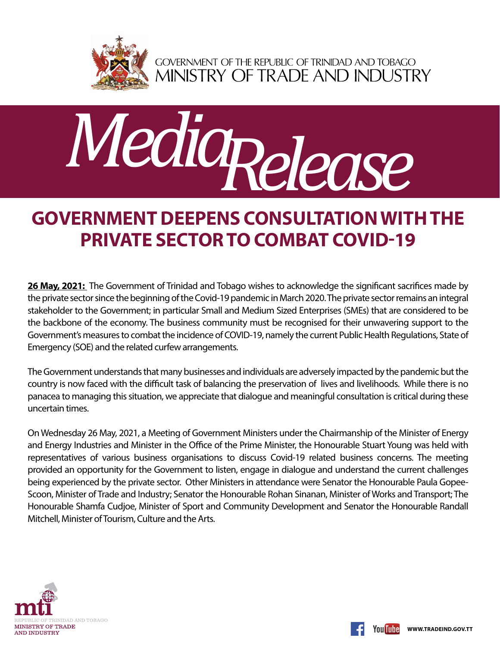

GOVERNMENT OF THE REPUBLIC OF TRINIDAD AND TOBAGO<br>MINISTRY OF TRADE AND INDUSTRY



## **Government Deepens Consultation with the Private Sector to Combat Covid-19**

**26 May, 2021:** The Government of Trinidad and Tobago wishes to acknowledge the significant sacrifices made by the private sector since the beginning of the Covid-19 pandemic in March 2020. The private sector remains an integral stakeholder to the Government; in particular Small and Medium Sized Enterprises (SMEs) that are considered to be the backbone of the economy. The business community must be recognised for their unwavering support to the Government's measures to combat the incidence of COVID-19, namely the current Public Health Regulations, State of Emergency (SOE) and the related curfew arrangements.

The Government understands that many businesses and individuals are adversely impacted by the pandemic but the country is now faced with the difficult task of balancing the preservation of lives and livelihoods. While there is no panacea to managing this situation, we appreciate that dialogue and meaningful consultation is critical during these uncertain times.

On Wednesday 26 May, 2021, a Meeting of Government Ministers under the Chairmanship of the Minister of Energy and Energy Industries and Minister in the Office of the Prime Minister, the Honourable Stuart Young was held with representatives of various business organisations to discuss Covid-19 related business concerns. The meeting provided an opportunity for the Government to listen, engage in dialogue and understand the current challenges being experienced by the private sector. Other Ministers in attendance were Senator the Honourable Paula Gopee-Scoon, Minister of Trade and Industry; Senator the Honourable Rohan Sinanan, Minister of Works and Transport; The Honourable Shamfa Cudjoe, Minister of Sport and Community Development and Senator the Honourable Randall Mitchell, Minister of Tourism, Culture and the Arts.